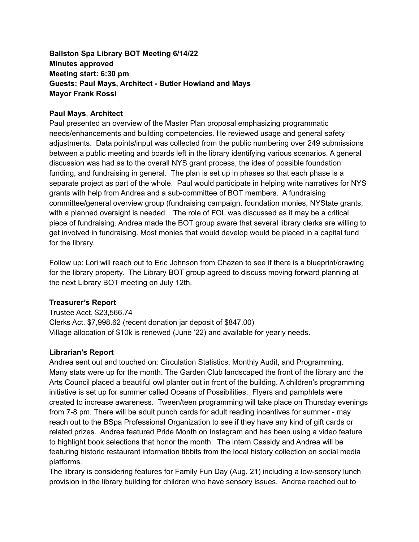# **Ballston Spa Library BOT Meeting 6/14/22 Minutes approved Meeting start: 6:30 pm Guests: Paul Mays, Architect - Butler Howland and Mays Mayor Frank Rossi**

#### **Paul Mays**, **Architect**

Paul presented an overview of the Master Plan proposal emphasizing programmatic needs/enhancements and building competencies. He reviewed usage and general safety adjustments. Data points/input was collected from the public numbering over 249 submissions between a public meeting and boards left in the library identifying various scenarios. A general discussion was had as to the overall NYS grant process, the idea of possible foundation funding, and fundraising in general. The plan is set up in phases so that each phase is a separate project as part of the whole. Paul would participate in helping write narratives for NYS grants with help from Andrea and a sub-committee of BOT members. A fundraising committee/general overview group (fundraising campaign, foundation monies, NYState grants, with a planned oversight is needed. The role of FOL was discussed as it may be a critical piece of fundraising. Andrea made the BOT group aware that several library clerks are willing to get involved in fundraising. Most monies that would develop would be placed in a capital fund for the library.

Follow up: Lori will reach out to Eric Johnson from Chazen to see if there is a blueprint/drawing for the library property. The Library BOT group agreed to discuss moving forward planning at the next Library BOT meeting on July 12th.

#### **Treasurer's Report**

Trustee Acct. \$23,566.74 Clerks Act. \$7,998.62 (recent donation jar deposit of \$847.00) Village allocation of \$10k is renewed (June '22) and available for yearly needs.

#### **Librarian's Report**

Andrea sent out and touched on: Circulation Statistics, Monthly Audit, and Programming. Many stats were up for the month. The Garden Club landscaped the front of the library and the Arts Council placed a beautiful owl planter out in front of the building. A children's programming initiative is set up for summer called Oceans of Possibilities. Flyers and pamphlets were created to increase awareness. Tween/teen programming will take place on Thursday evenings from 7-8 pm. There will be adult punch cards for adult reading incentives for summer - may reach out to the BSpa Professional Organization to see if they have any kind of gift cards or related prizes. Andrea featured Pride Month on Instagram and has been using a video feature to highlight book selections that honor the month. The intern Cassidy and Andrea will be featuring historic restaurant information tibbits from the local history collection on social media platforms.

The library is considering features for Family Fun Day (Aug. 21) including a low-sensory lunch provision in the library building for children who have sensory issues. Andrea reached out to